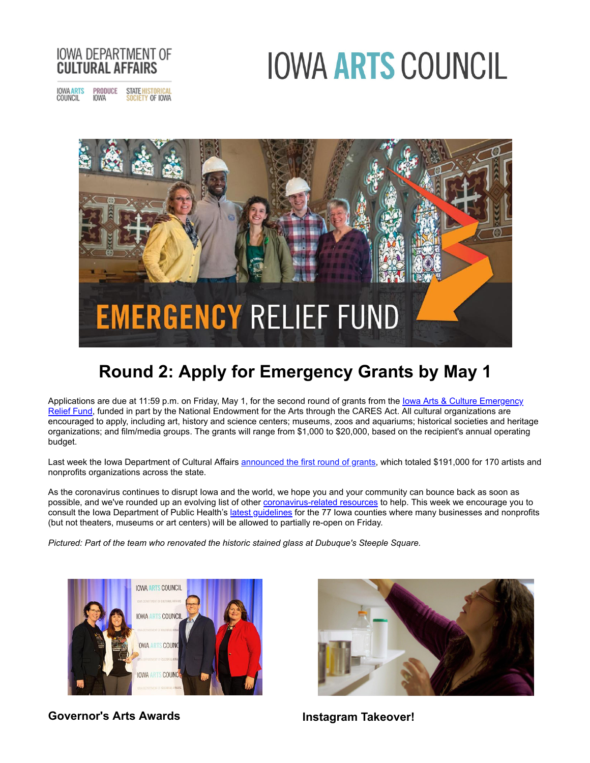# **IOWA ARTS COUNCIL**



PRODUCE STATE HISTORICAL<br>IOWA SOCIETY OF IOWA IOWA ARTS<br>COUNCIL SOCIETY OF IOWA



# **Round 2: Apply for Emergency Grants by May 1**

Applications are due at 11:59 p.m. on Friday, May 1, for the second round of grants from the lowa Arts & Culture Emergency [Relief Fund, funded in part by the National Endowment for the Arts through the CARES Act. All cultural organizations are](http://r20.rs6.net/tn.jsp?f=001IAqY1Zo-ocIMRZk3ArVAMQJrrRjEJ50X5eKi4fRJAfxgrDIFze4GVyY5tqeMdwPRxI0f8Usuly5R6TwJH22PMrvMde8xy8dyFZ975tvztm2MGHzF2opJ5zMA2zQVOgy032hOYV8t6W20IwWHcq3idw50HFKcx1DDx51z8oIByDuQYjyQrBHbCHTSf-I58-CVEwOjU_qZWqJxTS-SytUMs6xN0FK0CtPoyZBDgMF2FWRu5fGZemC9lg==&c=g0Lt1fx2xnUTEhv1ogUS7MY5SRxLwwXI0HlurREFOjF9dyFhP-pCIw==&ch=AMap2DYz-JmoKBw2RaR1kW4vILg-BjMTSF7DWc0zNLcCCOu1sCickw==) encouraged to apply, including art, history and science centers; museums, zoos and aquariums; historical societies and heritage organizations; and film/media groups. The grants will range from \$1,000 to \$20,000, based on the recipient's annual operating budget.

Last week the Iowa Department of Cultural Affairs [announced the first round of grants](http://r20.rs6.net/tn.jsp?f=001IAqY1Zo-ocIMRZk3ArVAMQJrrRjEJ50X5eKi4fRJAfxgrDIFze4GVyY5tqeMdwPRdJ495ZMeLnyAeW9QinWw3sQq-7Gh-DgXBEG-jT8d8TPptDz6Lkqi-aNGCPAPYRNGZ9dfMUL1x-skk80YV4dn0E6jhVF_Csi_QqHguWCxBoPh3gx0dZh4k8hub8s1IPiwwBvvoJvUs9TrblWzKHmsjvu6g-Ohg_9gRB1N15N49ZQqHRmmQkaS9mYrTVEMfyNX1dyR0SRVPPjKaSjspS4kx0tTGw4kcSYE&c=g0Lt1fx2xnUTEhv1ogUS7MY5SRxLwwXI0HlurREFOjF9dyFhP-pCIw==&ch=AMap2DYz-JmoKBw2RaR1kW4vILg-BjMTSF7DWc0zNLcCCOu1sCickw==), which totaled \$191,000 for 170 artists and nonprofits organizations across the state.

As the coronavirus continues to disrupt Iowa and the world, we hope you and your community can bounce back as soon as possible, and we've rounded up an evolving list of other **[coronavirus-related resources](http://r20.rs6.net/tn.jsp?f=001IAqY1Zo-ocIMRZk3ArVAMQJrrRjEJ50X5eKi4fRJAfxgrDIFze4GV-jg6JccHs0Vrp1owPJPUva9zhg8g7y0oHT8hO_oSj0Q--XUEF6G6QA7zL-gpubAPef0CLLIDGW0tK8n_Yz5nHDF3MxZGvFyoQW10BwuWQV9&c=g0Lt1fx2xnUTEhv1ogUS7MY5SRxLwwXI0HlurREFOjF9dyFhP-pCIw==&ch=AMap2DYz-JmoKBw2RaR1kW4vILg-BjMTSF7DWc0zNLcCCOu1sCickw==)** to help. This week we encourage you to consult the Iowa Department of Public Health's [latest guidelines](http://r20.rs6.net/tn.jsp?f=001IAqY1Zo-ocIMRZk3ArVAMQJrrRjEJ50X5eKi4fRJAfxgrDIFze4GVyY5tqeMdwPRLqZmXzmc6vncGeoTvUMUGOp2qNCe1HQJ2zUjtcQxN_ykRpdb27SfZksRJFNrfrizZzRs31zcyuu68-PdbCi8DZ9NG6JpIAli1jnrHuzf_X0Yfs_A4Y_zyMcUPnTqGVTd1ibffuh4_qljfz5RPFmlybbwcWOfuXZ-b_Sc2Z5-fPSZZiBEGsC19f4IeAo5hrVm&c=g0Lt1fx2xnUTEhv1ogUS7MY5SRxLwwXI0HlurREFOjF9dyFhP-pCIw==&ch=AMap2DYz-JmoKBw2RaR1kW4vILg-BjMTSF7DWc0zNLcCCOu1sCickw==) for the 77 Iowa counties where many businesses and nonprofits (but not theaters, museums or art centers) will be allowed to partially re-open on Friday.

*Pictured: Part of the team who renovated the historic stained glass at Dubuque's Steeple Square.*



**Governor's Arts Awards Instagram Takeover!**

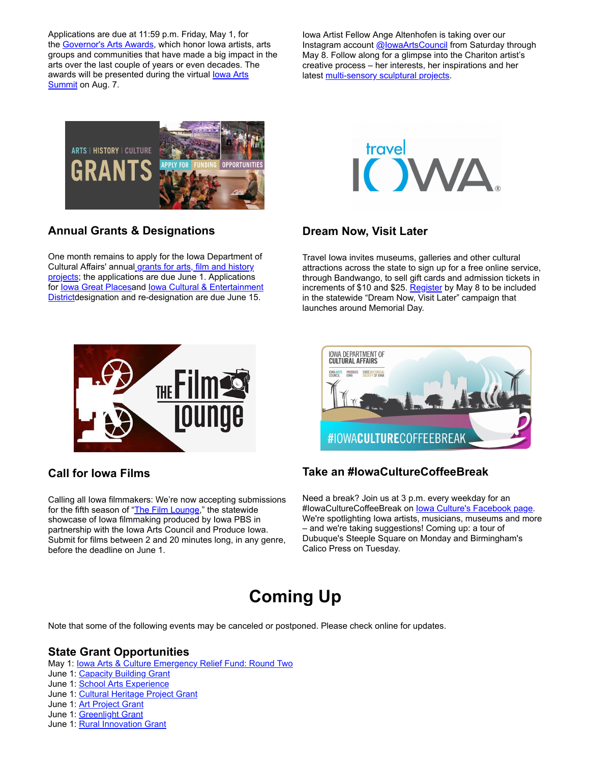Applications are due at 11:59 p.m. Friday, May 1, for the [Governor's Arts Awards,](http://r20.rs6.net/tn.jsp?f=001IAqY1Zo-ocIMRZk3ArVAMQJrrRjEJ50X5eKi4fRJAfxgrDIFze4GVwdmdDdbfof0Xdk1_hKgUS-O3pIK4xOHdoyxU4QvUySAniPR-LdYcYRN1-NhhHwl21Z-nkdmcmAkYQwSbTEeDz1Kqh8gwDC5zAB7fpppkvXUjB8AlvJCqDM0mrOsjtVzY9BtEs50cOwAYfOrUYb6OiPJQZ3jsGT2buIAnllQvjOFW3n3pGnkAB3R-wyMiB6hyTDk0O1BpWrW7CGU8i2nF3e-0x9g2J0YJg==&c=g0Lt1fx2xnUTEhv1ogUS7MY5SRxLwwXI0HlurREFOjF9dyFhP-pCIw==&ch=AMap2DYz-JmoKBw2RaR1kW4vILg-BjMTSF7DWc0zNLcCCOu1sCickw==) which honor Iowa artists, arts groups and communities that have made a big impact in the arts over the last couple of years or even decades. The [awards will be presented during the virtual](http://r20.rs6.net/tn.jsp?f=001IAqY1Zo-ocIMRZk3ArVAMQJrrRjEJ50X5eKi4fRJAfxgrDIFze4GVz3TQWEvDKPYAdMMiFtgLNJBNm6PlKj9pnFfg2p0N1Z2LmXTF63Q0az4eSn7nUMEA7BdpT18X-KwnB6mpfM7tqjv2UaXk3Pf3Pr96l8u1sflxX7g4asiy3CZVYRJkLYTY-i7si0Kyy6wiXNgrk_-p0E=&c=g0Lt1fx2xnUTEhv1ogUS7MY5SRxLwwXI0HlurREFOjF9dyFhP-pCIw==&ch=AMap2DYz-JmoKBw2RaR1kW4vILg-BjMTSF7DWc0zNLcCCOu1sCickw==) lowa Arts Summit on Aug. 7.

Iowa Artist Fellow Ange Altenhofen is taking over our Instagram account @lowaArtsCouncil from Saturday through May 8. Follow along for a glimpse into the Chariton artist's creative process – her interests, her inspirations and her latest [multi-sensory sculptural projects](http://r20.rs6.net/tn.jsp?f=001IAqY1Zo-ocIMRZk3ArVAMQJrrRjEJ50X5eKi4fRJAfxgrDIFze4GV0zeLP0cJy1NFrQ1cSvipgm3pkdsP3bq_WAajJWEiImd_vaN9Pm0ruU8ret5T9DNw-VEuzG_Sfy5pgJz9Iyeqy89qJPszHcw9fqa3dXG6svdtTM3sa_XmFt8k3V5QjVNElp4zKjgsOwJq9aqM_FgKJ9xsuprJzodX4IOYlk05xiXTIf2vMN0X8JvHSXrG2Vjxw==&c=g0Lt1fx2xnUTEhv1ogUS7MY5SRxLwwXI0HlurREFOjF9dyFhP-pCIw==&ch=AMap2DYz-JmoKBw2RaR1kW4vILg-BjMTSF7DWc0zNLcCCOu1sCickw==).



## **Annual Grants & Designations**

One month remains to apply for the Iowa Department of Cultural Affairs' annual grants for arts, film and history [projects; the applications are due June 1. Applications](http://r20.rs6.net/tn.jsp?f=001IAqY1Zo-ocIMRZk3ArVAMQJrrRjEJ50X5eKi4fRJAfxgrDIFze4GV6Kwa_1nIsq_PkNTyFqYLvZBQOmISH-VVtzIRzU7t7DS8K_tz3A-MqihZRU-1W8dibtPsXwa97xVooBFzA1H1vNBJEepUHNET95z9wYNlzkXHop40S91Wd-H0aeCM66VSg==&c=g0Lt1fx2xnUTEhv1ogUS7MY5SRxLwwXI0HlurREFOjF9dyFhP-pCIw==&ch=AMap2DYz-JmoKBw2RaR1kW4vILg-BjMTSF7DWc0zNLcCCOu1sCickw==) for [Iowa Great Places](http://r20.rs6.net/tn.jsp?f=001IAqY1Zo-ocIMRZk3ArVAMQJrrRjEJ50X5eKi4fRJAfxgrDIFze4GV-egebSX6PwkBG-dxJDczMf2JLh0Nr4egZAObGj1pft-UsYrwQsZVnkFbzMvOpcwS2VK5Hx93RAsZ3iYrQ4cWXTTa6s9z2Hw5pT_SoWagt0r3a-DOJXKlX0R8WXJ_w-1gbWwU0F8tEz63FXxB2wDoZpypoW0Us0hJQ==&c=g0Lt1fx2xnUTEhv1ogUS7MY5SRxLwwXI0HlurREFOjF9dyFhP-pCIw==&ch=AMap2DYz-JmoKBw2RaR1kW4vILg-BjMTSF7DWc0zNLcCCOu1sCickw==)and lowa Cultural & Entertainment [Districtdesignation and re-designation are due June 15.](http://r20.rs6.net/tn.jsp?f=001IAqY1Zo-ocIMRZk3ArVAMQJrrRjEJ50X5eKi4fRJAfxgrDIFze4GV-egebSX6Pwkgm9eJib6dBdHEoY7m9GOawQuMoktMsVIqgyxh1X1D56XRgAbx7mugVonLuWQB3xgFeT80AsvkM0k3-9cdpRCwtQIXwuarK8HSs_A63nObH4sbS5r43FCTu8TPHmmRxj5riJ836ckD8Z8TVFmZH8fdyukbVPM0he8-vZ1vXr98rl5py1o2HVTEWyuyrwEoXQN&c=g0Lt1fx2xnUTEhv1ogUS7MY5SRxLwwXI0HlurREFOjF9dyFhP-pCIw==&ch=AMap2DYz-JmoKBw2RaR1kW4vILg-BjMTSF7DWc0zNLcCCOu1sCickw==)



#### **Dream Now, Visit Later**

Travel Iowa invites museums, galleries and other cultural attractions across the state to sign up for a free online service, through Bandwango, to sell gift cards and admission tickets in increments of \$10 and \$25. [Register](http://r20.rs6.net/tn.jsp?f=001IAqY1Zo-ocIMRZk3ArVAMQJrrRjEJ50X5eKi4fRJAfxgrDIFze4GVyY5tqeMdwPR6ef9DaT0TxlXgIaYkQ-S9d6411rxd3MC1zqNzeeH1K5L-2YQI0CjiWXWHyNyWPTP2I3VaMap9nvXV8EeQrMFI6FAhRgZGrHLUPaSYWJEajo=&c=g0Lt1fx2xnUTEhv1ogUS7MY5SRxLwwXI0HlurREFOjF9dyFhP-pCIw==&ch=AMap2DYz-JmoKBw2RaR1kW4vILg-BjMTSF7DWc0zNLcCCOu1sCickw==) by May 8 to be included in the statewide "Dream Now, Visit Later" campaign that launches around Memorial Day.



## **Call for Iowa Films**

Calling all Iowa filmmakers: We're now accepting submissions for the fifth season of ["The Film Lounge](http://r20.rs6.net/tn.jsp?f=001IAqY1Zo-ocIMRZk3ArVAMQJrrRjEJ50X5eKi4fRJAfxgrDIFze4GVxdT-f8y-QAz8Xy3j8099sjbmkJ4kxFAlrQYGrT-O3zrYwTXcSvxE5xss1jZG8BC_tyfeGzpyby3d1LNqZunORdzCBzoY0IQ_lJCQpXHuABKBgEL0K6oJR-W5fsy1M6VZJ0apzYstMuY&c=g0Lt1fx2xnUTEhv1ogUS7MY5SRxLwwXI0HlurREFOjF9dyFhP-pCIw==&ch=AMap2DYz-JmoKBw2RaR1kW4vILg-BjMTSF7DWc0zNLcCCOu1sCickw==)," the statewide showcase of Iowa filmmaking produced by Iowa PBS in partnership with the Iowa Arts Council and Produce Iowa. Submit for films between 2 and 20 minutes long, in any genre, before the deadline on June 1.



# **Take an #IowaCultureCoffeeBreak**

Need a break? Join us at 3 p.m. every weekday for an #IowaCultureCoffeeBreak on lowa Culture's Facebook page. We're spotlighting Iowa artists, musicians, museums and more – and we're taking suggestions! Coming up: a tour of Dubuque's Steeple Square on Monday and Birmingham's Calico Press on Tuesday.

# **Coming Up**

Note that some of the following events may be canceled or postponed. Please check online for updates.

#### **State Grant Opportunities**

May 1: [Iowa Arts & Culture Emergency Relief Fund: Round Two](http://r20.rs6.net/tn.jsp?f=001IAqY1Zo-ocIMRZk3ArVAMQJrrRjEJ50X5eKi4fRJAfxgrDIFze4GV82DLq51dgeTOM51PEM3sR_5c6yZ7pvBZ2Y21HM6yiBZWoLxfA04ohwLzYDXd2H4o85FV6gsjkFhHQqlTT_qyHPwWZCroFwKdGGHO9urAYaFm5teblvDZteAN8o1AimIRw==&c=g0Lt1fx2xnUTEhv1ogUS7MY5SRxLwwXI0HlurREFOjF9dyFhP-pCIw==&ch=AMap2DYz-JmoKBw2RaR1kW4vILg-BjMTSF7DWc0zNLcCCOu1sCickw==)

- June 1: [Capacity Building Grant](http://r20.rs6.net/tn.jsp?f=001IAqY1Zo-ocIMRZk3ArVAMQJrrRjEJ50X5eKi4fRJAfxgrDIFze4GV3zpKERfAtuuiGEuhMQmat3yCGtaUjOU4UoOjHL-JG6LngGpPzSB71LTeMC9G0gXFWidnPRWctnTaWqe6gqX5VePBKGcrpT1orOSpQleNvGuXbuswTPV_HHJm81QOB_JtCyAaXtva8WEJ7p9NuBWQHS0tdyxfDF55Qq4vZwqjHUQS7kVZHGtAj8=&c=g0Lt1fx2xnUTEhv1ogUS7MY5SRxLwwXI0HlurREFOjF9dyFhP-pCIw==&ch=AMap2DYz-JmoKBw2RaR1kW4vILg-BjMTSF7DWc0zNLcCCOu1sCickw==)
- June 1: [School Arts Experience](http://r20.rs6.net/tn.jsp?f=001IAqY1Zo-ocIMRZk3ArVAMQJrrRjEJ50X5eKi4fRJAfxgrDIFze4GVwdmdDdbfof0_yzV1o6GaKbwJVAxempmPhsn7xniPn__bwXUQ8r8cJeMM15WYpfQMjSKE1vGe8lv2EFSOWtSP-SrflC07z86A2UbNHnIZ2dZqz7heqOs11EyfKjF4m_diI98qZWHs9WZ1hr-L9MxperrEpe0a1fPmppkgbQZtZHGilDuzDun1RI=&c=g0Lt1fx2xnUTEhv1ogUS7MY5SRxLwwXI0HlurREFOjF9dyFhP-pCIw==&ch=AMap2DYz-JmoKBw2RaR1kW4vILg-BjMTSF7DWc0zNLcCCOu1sCickw==)
- June 1: [Cultural Heritage Project Grant](http://r20.rs6.net/tn.jsp?f=001IAqY1Zo-ocIMRZk3ArVAMQJrrRjEJ50X5eKi4fRJAfxgrDIFze4GV-egebSX6PwkC_5YItsf_F17cdzgVLVYJCaz8XmFwfFx6yII3tKfG09yYAdRMigzgpArcehUWHgBHhkSK9HNWZLCiPEGAEX_K0KBmdjUbgwaywvg7DRtKldfou_piXdGIl2M8ACTKMqr0akPkuV9lHRGVozu_dPvvtW_SnNSOcOhUcs45zS0NvTeBymSAt1oeg==&c=g0Lt1fx2xnUTEhv1ogUS7MY5SRxLwwXI0HlurREFOjF9dyFhP-pCIw==&ch=AMap2DYz-JmoKBw2RaR1kW4vILg-BjMTSF7DWc0zNLcCCOu1sCickw==)
- June 1: [Art Project Grant](http://r20.rs6.net/tn.jsp?f=001IAqY1Zo-ocIMRZk3ArVAMQJrrRjEJ50X5eKi4fRJAfxgrDIFze4GVwdmdDdbfof0_5_8_QLQDUum0RvIQ3wGc0Z-xVhxLdBxdltXj4KmVu2tP9PhI-p0l1LNzu-gY6Ex6AJLTShQCYgOEs7XrksEFC4rwXd65j6G4sYfHDGUckqSSvAKC5rAfsVUQ8zfYUKU-W0vH98ZcRHiwgQ3cCkPMmEE-zj_8W7wbLitmT9PBjk=&c=g0Lt1fx2xnUTEhv1ogUS7MY5SRxLwwXI0HlurREFOjF9dyFhP-pCIw==&ch=AMap2DYz-JmoKBw2RaR1kW4vILg-BjMTSF7DWc0zNLcCCOu1sCickw==)
- June 1: [Greenlight Grant](http://r20.rs6.net/tn.jsp?f=001IAqY1Zo-ocIMRZk3ArVAMQJrrRjEJ50X5eKi4fRJAfxgrDIFze4GVwdmdDdbfof03v0uV1ei_r0_7EGbTsh5MBcis198p4nEkp9jFAhchLm7otWqQjeCMubkLW4oB_0Rso37p2YS32l88TJGZ6uDbl9WZQnjuos27KmWelvTJsZdFbXozn53kWmB2r4O5al8h1XupMZgfHO6hSzABp-5gQzw-iq-M8K01fxBFY1t5Ss=&c=g0Lt1fx2xnUTEhv1ogUS7MY5SRxLwwXI0HlurREFOjF9dyFhP-pCIw==&ch=AMap2DYz-JmoKBw2RaR1kW4vILg-BjMTSF7DWc0zNLcCCOu1sCickw==)
- June 1: [Rural Innovation Grant](http://r20.rs6.net/tn.jsp?f=001IAqY1Zo-ocIMRZk3ArVAMQJrrRjEJ50X5eKi4fRJAfxgrDIFze4GV3zpKERfAtuuyqxkUBsqJibutbY5v2sS4eza7ZpgqNyvB-ts11SpTwxo_NE8oD7tIjkpxo4yz5PYQCgZao-bxfOF8nZCUjnT_LP96u-TFPj4IgL2nyTy03_B4yr7yfZOQC_9sCWjIpsWFv5n7Cm_wGnP8c4HfFn7bClVUCirsgs6TU3Q8FzmXK_5H20OkNDRrg==&c=g0Lt1fx2xnUTEhv1ogUS7MY5SRxLwwXI0HlurREFOjF9dyFhP-pCIw==&ch=AMap2DYz-JmoKBw2RaR1kW4vILg-BjMTSF7DWc0zNLcCCOu1sCickw==)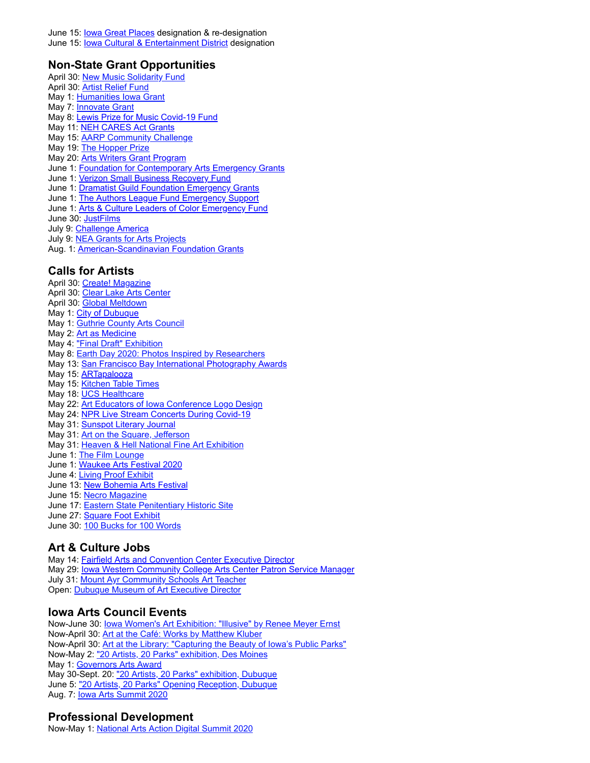#### **Non-State Grant Opportunities**

- April 30: [New Music Solidarity Fund](http://r20.rs6.net/tn.jsp?f=001IAqY1Zo-ocIMRZk3ArVAMQJrrRjEJ50X5eKi4fRJAfxgrDIFze4GV-egebSX6PwkGhLHv6pqjLUWdHuhvVz4JeNNrpMNgrlcDuwBfoXrCA2b8Y6ejVFMETH4Zg5jZje507Z9X8K7RG_938C9PWRKUZOKbn92ELwNjMtgvO_F_vVpHRALFWgyg7OgAB8TD4pKH78_K12RGOP7lXwJvdqf1i7I7Jtw_nBioGkn79i8rdMcHFQTcnhpNenEPzwBlHi-&c=g0Lt1fx2xnUTEhv1ogUS7MY5SRxLwwXI0HlurREFOjF9dyFhP-pCIw==&ch=AMap2DYz-JmoKBw2RaR1kW4vILg-BjMTSF7DWc0zNLcCCOu1sCickw==) April 30: [Artist Relief Fund](http://r20.rs6.net/tn.jsp?f=001IAqY1Zo-ocIMRZk3ArVAMQJrrRjEJ50X5eKi4fRJAfxgrDIFze4GVyY5tqeMdwPRBM1rqkLA8dJ76rKMEV1SKQQ5r3puSGUIVwTdJo8ZN5stuZ_OmbTBqoMvof8PPJDLecLHwtxuzldjKdcfzdK-ZuorgexHhVs0u3hN2CcZehLOxhKG-wi6_46YBgwTDhT_GeEojTUrW_nRIPIZYcrha1MHaT3WTujPLBywsd1Cx077qnT24jXqVQ==&c=g0Lt1fx2xnUTEhv1ogUS7MY5SRxLwwXI0HlurREFOjF9dyFhP-pCIw==&ch=AMap2DYz-JmoKBw2RaR1kW4vILg-BjMTSF7DWc0zNLcCCOu1sCickw==) May 1: [Humanities Iowa Grant](http://r20.rs6.net/tn.jsp?f=001IAqY1Zo-ocIMRZk3ArVAMQJrrRjEJ50X5eKi4fRJAfxgrDIFze4GVwdmdDdbfof09X1UwXfkqe9cd_2kRdLbbwlBwYOiPGgEPt-tFEko2M1E6-rpDI6pXUnXG8jGl9ZHPXMuYaaq0l0Wqsv6x8xF7qwYoq425Lg8fuWht3dygdAFKiBAo_1datn73GHNItO1e419hRRCpnCEOVp3cGpGdpRuopXeXRu3u6QPlOHmJZyc6Xpxn3GKlg==&c=g0Lt1fx2xnUTEhv1ogUS7MY5SRxLwwXI0HlurREFOjF9dyFhP-pCIw==&ch=AMap2DYz-JmoKBw2RaR1kW4vILg-BjMTSF7DWc0zNLcCCOu1sCickw==) May 7: **[Innovate Grant](http://r20.rs6.net/tn.jsp?f=001IAqY1Zo-ocIMRZk3ArVAMQJrrRjEJ50X5eKi4fRJAfxgrDIFze4GV9Mr8kAl5G8mvGWeZAMEjqo6y7o-30f3J559ezQIxSk5R684y7-FIlN4AnF1IOaLSiGy2n5tOoKocUY1u6_BzWOLk5s2ULmzo3GEiKacYoOeR4HfkXyBiQBXNMC8jurqB1PbMEd-0d_Th4a-0o1xgMfwoo7CIJKw-1RWFDOQHsxOgrGQgc9lR2g=&c=g0Lt1fx2xnUTEhv1ogUS7MY5SRxLwwXI0HlurREFOjF9dyFhP-pCIw==&ch=AMap2DYz-JmoKBw2RaR1kW4vILg-BjMTSF7DWc0zNLcCCOu1sCickw==)** May 8: [Lewis Prize for Music Covid-19 Fund](http://r20.rs6.net/tn.jsp?f=001IAqY1Zo-ocIMRZk3ArVAMQJrrRjEJ50X5eKi4fRJAfxgrDIFze4GVyY5tqeMdwPRhlUrwl4WnxGxhp9fz8EqtOAXYYPOJBQk-pKM49p_WyQEhsNpVqfCDyud8020y8v0b2zLr1CjzowJvnRIRAskp_wJ--anf6rnJ3SGxAAzZ9Sitp7Ohu-_W5cKrsNRkHem0bnnF-PNFIc627fIzxRSWlC4xwFJMarTqjJRCKuVoh07sbaOyg_uxuoaOQuq8RT4nqRsNM_c8Sg=&c=g0Lt1fx2xnUTEhv1ogUS7MY5SRxLwwXI0HlurREFOjF9dyFhP-pCIw==&ch=AMap2DYz-JmoKBw2RaR1kW4vILg-BjMTSF7DWc0zNLcCCOu1sCickw==) May 11: [NEH CARES Act Grants](http://r20.rs6.net/tn.jsp?f=001IAqY1Zo-ocIMRZk3ArVAMQJrrRjEJ50X5eKi4fRJAfxgrDIFze4GVyY5tqeMdwPRMcsTLe2A3Ppv-shJL06V-4ci7BoS5xw2Atp7bh8ex0oXWQtXcGJy04AVezBoZmMeP0wQ0uD2h_PwwiIEhwDlDF7ypppsdx1jIkr9vKKe9kHkUrIPKLkxl5IQezKs_C-AOrinBjfXjgDU_8X7A0sTQjPYubf7D0w2uEFQFkVQ8I7uUMmHOScu2Gp_848OGk31&c=g0Lt1fx2xnUTEhv1ogUS7MY5SRxLwwXI0HlurREFOjF9dyFhP-pCIw==&ch=AMap2DYz-JmoKBw2RaR1kW4vILg-BjMTSF7DWc0zNLcCCOu1sCickw==) May 15: [AARP Community Challenge](http://r20.rs6.net/tn.jsp?f=001IAqY1Zo-ocIMRZk3ArVAMQJrrRjEJ50X5eKi4fRJAfxgrDIFze4GV3zpKERfAtuuT9sIbvvfwI5l-Av3qBLQh4paiV9aaMMQ78zCFCQAE3IH7Au4XvuEyMuwVqO4Tit1fWIENcPepIURXeuFB_gHt0-78R59FRsmpWdbv2xiW556CsnDZrOGRgGFrd8SImXwcDKcfUw9m3AaXOmh7nwsWg7Ws2mhjUpEeyPgeRIAbv_58ppUQjYUdsq4DAg4TFnG&c=g0Lt1fx2xnUTEhv1ogUS7MY5SRxLwwXI0HlurREFOjF9dyFhP-pCIw==&ch=AMap2DYz-JmoKBw2RaR1kW4vILg-BjMTSF7DWc0zNLcCCOu1sCickw==) May 19: [The Hopper Prize](http://r20.rs6.net/tn.jsp?f=001IAqY1Zo-ocIMRZk3ArVAMQJrrRjEJ50X5eKi4fRJAfxgrDIFze4GVyNpajqiTZU4T0sW1Oikz9lEkHtObEOseAupl9_hB6SY_gYxz7Io8WFU0U7Boxy3C0pnkt9QrJJfLRF9lym3DTzj9O-CIhceFhaaz0_8aPRxOYgdYU4b7Xujs9T6_LMjYanvik5Ag888ZjeRDg_fWUfn9_SHy89LOV78AFXBTTs5FUUM9xEEn50=&c=g0Lt1fx2xnUTEhv1ogUS7MY5SRxLwwXI0HlurREFOjF9dyFhP-pCIw==&ch=AMap2DYz-JmoKBw2RaR1kW4vILg-BjMTSF7DWc0zNLcCCOu1sCickw==) May 20: [Arts Writers Grant Program](http://r20.rs6.net/tn.jsp?f=001IAqY1Zo-ocIMRZk3ArVAMQJrrRjEJ50X5eKi4fRJAfxgrDIFze4GVyNpajqiTZU4mgpCrYfPAEH3IGHg2FcT2CXuWq9K9OaCMuWoniSgcDIF7GI_ioJ8HlCzDFXLEzcXJC_r_J66I_ElsnAW5QdHc1AiQSNFzo9Ft069PGOXLK2TNii3FNp3yWYPas5sFe5cFWxAXIkuxL_9YU-dNpTDavpQgRoFQ9G-BAZbZqAhwyK_Ns8mDz9pMBHjnKTodCYk&c=g0Lt1fx2xnUTEhv1ogUS7MY5SRxLwwXI0HlurREFOjF9dyFhP-pCIw==&ch=AMap2DYz-JmoKBw2RaR1kW4vILg-BjMTSF7DWc0zNLcCCOu1sCickw==) June 1: [Foundation for Contemporary Arts Emergency Grants](http://r20.rs6.net/tn.jsp?f=001IAqY1Zo-ocIMRZk3ArVAMQJrrRjEJ50X5eKi4fRJAfxgrDIFze4GVyY5tqeMdwPRBUQA1RjKGcGlaEjskv3L1zPw-AI_ug_xb8SOQoWqgfDPxqwjUyx0wjyN6V1k6PAeMT5-PJy2_ILxwwa1aTrIn9tbC9PX8qL8O_5-HPN2nXni8tyonOHOkokTUrO6h8oI0MNFT_kWMA1XRTKzXyUnCK8VdGQGqyMQ-wQS4C2LZYSj1zdYIwxckARTIrLD9XCmA4NiVx8yQDo=&c=g0Lt1fx2xnUTEhv1ogUS7MY5SRxLwwXI0HlurREFOjF9dyFhP-pCIw==&ch=AMap2DYz-JmoKBw2RaR1kW4vILg-BjMTSF7DWc0zNLcCCOu1sCickw==) June 1: [Verizon Small Business Recovery Fund](http://r20.rs6.net/tn.jsp?f=001IAqY1Zo-ocIMRZk3ArVAMQJrrRjEJ50X5eKi4fRJAfxgrDIFze4GVyY5tqeMdwPRozN5oga8_yHz-jomkmTdW8z2Rm6yNy5ZftY5MBBHoQh_G9DIn-G_Sl8ph3Hkt0gkDXo_jfi_MqjRfm40AGNv_PdP3rqEXHxE36WyAJX1qrEiV1sVYtysGZxlaTJebJtKBv9FqtHBqpNVMjaGYIX5iLfzuSKC5oC7_-zzuaNcqBcf_PuNd8FoLYsDsjIFODFqLMuDOII6lej8AUHHhF1Zxw==&c=g0Lt1fx2xnUTEhv1ogUS7MY5SRxLwwXI0HlurREFOjF9dyFhP-pCIw==&ch=AMap2DYz-JmoKBw2RaR1kW4vILg-BjMTSF7DWc0zNLcCCOu1sCickw==) June 1: [Dramatist Guild Foundation Emergency Grants](http://r20.rs6.net/tn.jsp?f=001IAqY1Zo-ocIMRZk3ArVAMQJrrRjEJ50X5eKi4fRJAfxgrDIFze4GVyY5tqeMdwPRk7CyQFERQI-d-YsaeYKfzoipqBzkjmZBFA8_rN9dx6_A-oF_aWO22373N1haNACLFtzpzcMT-b2N7UsTDZmI00w1cp4riDkDMAw2dLzarr19v5TC3cZvDLIJ2clP1CWK9Il3O5vVOqxDf4kSRlZEzZArsbAEl0BZ1H8c-0O-JIER3UP5C0QDGlGkNEZgsRA7S71cFR8QJGJ9LK_xKTcYLQ==&c=g0Lt1fx2xnUTEhv1ogUS7MY5SRxLwwXI0HlurREFOjF9dyFhP-pCIw==&ch=AMap2DYz-JmoKBw2RaR1kW4vILg-BjMTSF7DWc0zNLcCCOu1sCickw==) June 1: [The Authors League Fund Emergency Support](http://r20.rs6.net/tn.jsp?f=001IAqY1Zo-ocIMRZk3ArVAMQJrrRjEJ50X5eKi4fRJAfxgrDIFze4GVyY5tqeMdwPRCR2EttdGwMjmua4Tz4b5AKRT6mnr8OqPrT3v62ui3_dlOuI4vzRhLj36kzCT_SzR5YE7edSnwBjqBvGB9q1IsFSDLzFOTxnp9d3EGupj7DsumVkaOPLmXkmEe2vOjvxxMzwUzF_0FYQTe9FMFrV5GJHUW75vQ-3hChP9E2JBYMYs2RLoo-7b-XxbgrCh6DacBG-lwMkxfppWydy0LA0y6w==&c=g0Lt1fx2xnUTEhv1ogUS7MY5SRxLwwXI0HlurREFOjF9dyFhP-pCIw==&ch=AMap2DYz-JmoKBw2RaR1kW4vILg-BjMTSF7DWc0zNLcCCOu1sCickw==) June 1: [Arts & Culture Leaders of Color Emergency Fund](http://r20.rs6.net/tn.jsp?f=001IAqY1Zo-ocIMRZk3ArVAMQJrrRjEJ50X5eKi4fRJAfxgrDIFze4GVyY5tqeMdwPR-jSNx1R8PtZvQvKotP_-JSa4mD7HP1wQ2nKQU6S3w-j-RUop-ho_lgxfaBDk3iOJR-rwRqoiwKAOofUC9qVL2gICnYaCfY0Lm4BuoptgZ3-97xAnmz65xhAlHP62sGdZTH1M-7ihD-U5mpuot6ABgfP64jVqOetSF1SLS1jp9X6z1O9jAoXub78s4RXl4PRXm7I6oygnn6SmI9HzdDHbFdzCdByO5aVF&c=g0Lt1fx2xnUTEhv1ogUS7MY5SRxLwwXI0HlurREFOjF9dyFhP-pCIw==&ch=AMap2DYz-JmoKBw2RaR1kW4vILg-BjMTSF7DWc0zNLcCCOu1sCickw==) June 30: [JustFilms](http://r20.rs6.net/tn.jsp?f=001IAqY1Zo-ocIMRZk3ArVAMQJrrRjEJ50X5eKi4fRJAfxgrDIFze4GVyY5tqeMdwPRBrCfwflh6XAVbIUJQbH9cIwWM1oO1gqLGgRVWifl95kvyj18IcqIKXcWUHyrOzfBDBC_tX7Ovrs-7_r9gIH_YOF7lfoxwRXGgCph9MY3VwY3psVSRliHED5WDDD-n8InknEBpJ4I9LTVu8-w4xcssA5sdrhKxtutWovCXm_yuAY=&c=g0Lt1fx2xnUTEhv1ogUS7MY5SRxLwwXI0HlurREFOjF9dyFhP-pCIw==&ch=AMap2DYz-JmoKBw2RaR1kW4vILg-BjMTSF7DWc0zNLcCCOu1sCickw==) July 9: [Challenge America](http://r20.rs6.net/tn.jsp?f=001IAqY1Zo-ocIMRZk3ArVAMQJrrRjEJ50X5eKi4fRJAfxgrDIFze4GV-Q8AOxDtQl9mx2uVe5vLFUontuKrUpj6bkdcI5IQO8x5V9KPZW90lTTsomcF7Ag-zfQhbSdb3h65EpFxUdWp27jyZueWtYBzZK8q3tkM7upBbTafIu4CSWs4KGe2vi5fl4TzyMI8tWWbEFKYnvUTf3JZ25W6A9Kchu3zqCNuZJCfjUEF7Nmv1w=&c=g0Lt1fx2xnUTEhv1ogUS7MY5SRxLwwXI0HlurREFOjF9dyFhP-pCIw==&ch=AMap2DYz-JmoKBw2RaR1kW4vILg-BjMTSF7DWc0zNLcCCOu1sCickw==) July 9: [NEA Grants for Arts Projects](http://r20.rs6.net/tn.jsp?f=001IAqY1Zo-ocIMRZk3ArVAMQJrrRjEJ50X5eKi4fRJAfxgrDIFze4GVyNpajqiTZU49w3d5AGuW88zA1GSACSiXsqN46vEo_qoR5W12UaKOUPIoXfO_EOv3XbGNd8DSmxr_nFqP2-L64DpsWNkVLfRGEGdgNvtAC_DXDztrXXDsXsFaeFkqNe-X7LnEm4UyU70Y_DhHg_aa3yj8TDEW9oz_ftz5YVPAc9b0EYmf_D0kmNrUl2NY4sMSX1_g5XCDEHH&c=g0Lt1fx2xnUTEhv1ogUS7MY5SRxLwwXI0HlurREFOjF9dyFhP-pCIw==&ch=AMap2DYz-JmoKBw2RaR1kW4vILg-BjMTSF7DWc0zNLcCCOu1sCickw==) Aug. 1: [American-Scandinavian Foundation Grants](http://r20.rs6.net/tn.jsp?f=001IAqY1Zo-ocIMRZk3ArVAMQJrrRjEJ50X5eKi4fRJAfxgrDIFze4GVyY5tqeMdwPRXeZbLGPh15aGdTSHHH2wVhmPuDNImYtPnLHVKMtSrf86ZzakvwwQl8M29RUrulHcJ2-kak2i-dXgsVTXRhGCmIZKMzjsdgKlBsNIcD8bFunGraPbKg_aDMGsFhCF1_wtD8Ei8LhFqLIj-4j_vZlOuj-wJsiXM0aRvCgSFSv9NGAyeZPZ55hnu9HgwuYGzy4rtbO8Pdis57fjqAymQWTvHK-zD55NGGHp&c=g0Lt1fx2xnUTEhv1ogUS7MY5SRxLwwXI0HlurREFOjF9dyFhP-pCIw==&ch=AMap2DYz-JmoKBw2RaR1kW4vILg-BjMTSF7DWc0zNLcCCOu1sCickw==) **Calls for Artists** April 30: [Create! Magazine](http://r20.rs6.net/tn.jsp?f=001IAqY1Zo-ocIMRZk3ArVAMQJrrRjEJ50X5eKi4fRJAfxgrDIFze4GV9Mr8kAl5G8myCP-N2YfNyRrEu4uZTOLcg0WcC2YUdtzyh61V4CWP7off3WOlczNpVDVi6KaZHQK27CFugMjPa3D0YZOUKBas75abWEV6uwNImPYBuGy39RvT52CCZy_uo8aJF5f0-X4er0Ngqa4gWilVR4UuatsULGgrhsM8jV5YZm37z0Jrhh6XFJL9NnYgQ==&c=g0Lt1fx2xnUTEhv1ogUS7MY5SRxLwwXI0HlurREFOjF9dyFhP-pCIw==&ch=AMap2DYz-JmoKBw2RaR1kW4vILg-BjMTSF7DWc0zNLcCCOu1sCickw==) April 30: [Clear Lake Arts Center](http://r20.rs6.net/tn.jsp?f=001IAqY1Zo-ocIMRZk3ArVAMQJrrRjEJ50X5eKi4fRJAfxgrDIFze4GV9Mr8kAl5G8mwrL93xGMZLeznUolLtmfa2B-v-cmqC0SxcOVG86kSOOIgA8eWK6QL-AR5XOCn6JGau7dPD4hgIdRJclj_8SfvZlOlzwdg_TR_EAsJ-JGJYDdsG_RZvMgAUbAwdcHIHDO05ko_p1zXac85svyENEOgxp7AtSui5_0alv41XThhNMyWaSQPXAHfw==&c=g0Lt1fx2xnUTEhv1ogUS7MY5SRxLwwXI0HlurREFOjF9dyFhP-pCIw==&ch=AMap2DYz-JmoKBw2RaR1kW4vILg-BjMTSF7DWc0zNLcCCOu1sCickw==) April 30: [Global Meltdown](http://r20.rs6.net/tn.jsp?f=001IAqY1Zo-ocIMRZk3ArVAMQJrrRjEJ50X5eKi4fRJAfxgrDIFze4GVyY5tqeMdwPRxa4alIaJQggfQyuWniCpaP1ntPWDnmh5l43Yo9grCjtaAdqTT88rGC9LFdyc3KHCcUtCm0p1FsRV483wodeU_jVmkpg3MgOOOsz-XAEHyjgvJV5r6JnHnGaqVMMdVBBb8qfD4XByIBxJuN5_XfKmuhso38PSEp1rwXNwcNC08qIdLbJ_fgk3vg==&c=g0Lt1fx2xnUTEhv1ogUS7MY5SRxLwwXI0HlurREFOjF9dyFhP-pCIw==&ch=AMap2DYz-JmoKBw2RaR1kW4vILg-BjMTSF7DWc0zNLcCCOu1sCickw==) May 1: [City of Dubuque](http://r20.rs6.net/tn.jsp?f=001IAqY1Zo-ocIMRZk3ArVAMQJrrRjEJ50X5eKi4fRJAfxgrDIFze4GVyNpajqiTZU4R31h7V_uWcN0JVuLAu4G5m3jxPOaeB2efwJNQvmGjgZp1IRYXhAhrPDl3c_Dp66wReTpdAOpyJMAXdENPkEkv5ylgIIRV052Mt9ldsFoLjzOhePZbTS6cV-5tvOeoyghgnsmr_ygSkKAALRSWACyz8lfqPaIlTXzQ2TR5Fka45Q=&c=g0Lt1fx2xnUTEhv1ogUS7MY5SRxLwwXI0HlurREFOjF9dyFhP-pCIw==&ch=AMap2DYz-JmoKBw2RaR1kW4vILg-BjMTSF7DWc0zNLcCCOu1sCickw==) May 1: [Guthrie County Arts Council](http://r20.rs6.net/tn.jsp?f=001IAqY1Zo-ocIMRZk3ArVAMQJrrRjEJ50X5eKi4fRJAfxgrDIFze4GVyNpajqiTZU4oH4QT3WNmlJ6JuQsGDPbEye2N9kInTUhkwwRYJdNqYnyjXCWSjOejNFkWNPvOgVxO8-SmzKyi9Y2Yhr0LITLtAG3FGwlJXv-xHBHZTYNAEB6j8Mao9GzyYdsGLxdiJjoiQ5FWUaO8dMop9t1n085yVM15O5pGGxXluwiC6vpY-beJBRfOWDk3Y8XX0S0Uy0I&c=g0Lt1fx2xnUTEhv1ogUS7MY5SRxLwwXI0HlurREFOjF9dyFhP-pCIw==&ch=AMap2DYz-JmoKBw2RaR1kW4vILg-BjMTSF7DWc0zNLcCCOu1sCickw==) May 2: [Art as Medicine](http://r20.rs6.net/tn.jsp?f=001IAqY1Zo-ocIMRZk3ArVAMQJrrRjEJ50X5eKi4fRJAfxgrDIFze4GVyNpajqiTZU4fKflcAz2G2LJp3lt_AJeMCdHHr-djBHlJa-UePrE3RjSJNYhHIIkQa8TtL7IuxBytzSRZY0ihm1NoHXpHZwlL3E5qQMJOF2I9QxzA625-I9e3SnUCO0H_q9L42HmzXMJ6Dk-dTN_ZMHTfPMeEwlneOBk2oOqf3f-FybTpCuN_BI=&c=g0Lt1fx2xnUTEhv1ogUS7MY5SRxLwwXI0HlurREFOjF9dyFhP-pCIw==&ch=AMap2DYz-JmoKBw2RaR1kW4vILg-BjMTSF7DWc0zNLcCCOu1sCickw==) May 4: ["Final Draft" Exhibition](http://r20.rs6.net/tn.jsp?f=001IAqY1Zo-ocIMRZk3ArVAMQJrrRjEJ50X5eKi4fRJAfxgrDIFze4GVyNpajqiTZU4NGF-TsiW0CvmoRCqmPOIzYWxt3onUuU8ZbB3u9MLpyRAC_OxGac-juJbZgIuMSb-c3jzKPHwE0BkfsQWVFqoZWIUfZ38N4r1a6IImMCm9JVEuQHccqWMqbwnRxp2j3oY3PLWRODDo57-aAS0EkjQTGme28JhaFUhgaq7hg9_qMuV5XI-8FSN_Q==&c=g0Lt1fx2xnUTEhv1ogUS7MY5SRxLwwXI0HlurREFOjF9dyFhP-pCIw==&ch=AMap2DYz-JmoKBw2RaR1kW4vILg-BjMTSF7DWc0zNLcCCOu1sCickw==) May 8: **[Earth Day 2020: Photos Inspired by Researchers](http://r20.rs6.net/tn.jsp?f=001IAqY1Zo-ocIMRZk3ArVAMQJrrRjEJ50X5eKi4fRJAfxgrDIFze4GV0zeLP0cJy1NHDdjT049KfKnCC82fkN-qIUVYR9DvnpBRoYbgfAfYmQVB5x5gCi-LXCKTxKqoU8KSUvhg1DJfYSzPSJ8FgQQhKUVDYeU-9yM3J_MAAJlAS68dn0PO53_-B6zliwKVXO-NfjhGwvKcrY=&c=g0Lt1fx2xnUTEhv1ogUS7MY5SRxLwwXI0HlurREFOjF9dyFhP-pCIw==&ch=AMap2DYz-JmoKBw2RaR1kW4vILg-BjMTSF7DWc0zNLcCCOu1sCickw==)** May 13: [San Francisco Bay International Photography Awards](http://r20.rs6.net/tn.jsp?f=001IAqY1Zo-ocIMRZk3ArVAMQJrrRjEJ50X5eKi4fRJAfxgrDIFze4GVyNpajqiTZU4BVzI_dZC3fvyt6pAscZ9oAyiJ7ReAxy0EKuGyUV0EsNkr39PfOqSrPi_V8qlKmtGYg5b4a2WTAzFF-Am9_O0LkzOUHi1gbY8aMdkcx8v6AlNunBKlbuyjtSy9-7cXPjz-3eBv4VDXRd0VXaUD9Y3jV6daptXa3qoStspdnH2YF-KnXeQGm44epIH_8W7wPtngcROEhaoXt6_QLthAahSnl0Km6aWAcd0&c=g0Lt1fx2xnUTEhv1ogUS7MY5SRxLwwXI0HlurREFOjF9dyFhP-pCIw==&ch=AMap2DYz-JmoKBw2RaR1kW4vILg-BjMTSF7DWc0zNLcCCOu1sCickw==) May 15: **[ARTapalooza](http://r20.rs6.net/tn.jsp?f=001IAqY1Zo-ocIMRZk3ArVAMQJrrRjEJ50X5eKi4fRJAfxgrDIFze4GVyNpajqiTZU4vO78HazeIU6By4SSbXFuUiuyyK-i5a7e3lE3xE1VajgI6oO6fUk07r-8RKs8tFmccw2WBlw0a8Ss4rsIeq2O8OzMEeYuGW0bmAsMvbUu8SnRpdsX6zmazQL4Q3x2017QyokvOOhHSvyuIAoI1IED7DQP_8YPMaxfNXV1BuY3lPg=&c=g0Lt1fx2xnUTEhv1ogUS7MY5SRxLwwXI0HlurREFOjF9dyFhP-pCIw==&ch=AMap2DYz-JmoKBw2RaR1kW4vILg-BjMTSF7DWc0zNLcCCOu1sCickw==)** May 15: **[Kitchen Table Times](http://r20.rs6.net/tn.jsp?f=001IAqY1Zo-ocIMRZk3ArVAMQJrrRjEJ50X5eKi4fRJAfxgrDIFze4GVyNpajqiTZU4EoW0FS7vB6oJM7al6HNZdtxl6tOLHAeZpgmi6ZfplwCz20IC-paA_-JAuvpCT2FsxPytVehUEMjCqXBqxvaf9dPZQpUrIHQqJfpp1rdxKY6hKyG74iHZ28k6N-KlpCixspg2o8GKnw-9NyQ0WbsQj5ktjdaZIph294EX9TGK42OuM2Au_u8HQg==&c=g0Lt1fx2xnUTEhv1ogUS7MY5SRxLwwXI0HlurREFOjF9dyFhP-pCIw==&ch=AMap2DYz-JmoKBw2RaR1kW4vILg-BjMTSF7DWc0zNLcCCOu1sCickw==)** May 18: [UCS Healthcare](http://r20.rs6.net/tn.jsp?f=001IAqY1Zo-ocIMRZk3ArVAMQJrrRjEJ50X5eKi4fRJAfxgrDIFze4GVyY5tqeMdwPR3KaraiEjIszeLS3uzqTSpuDo2wQ8tx30CYJlZtPE1vZ8t-QyGV-V3BuNGZmjus4RJj_nzgonsM70R7esL7rc5bkLaw4KDT5A96N-Z2ILe9qlIzGMo-HhkioJ1T6ivF0rICdYUhvMMjPIq9ft9WsFYYi1SR_IG-VHYM_6jkS32M4=&c=g0Lt1fx2xnUTEhv1ogUS7MY5SRxLwwXI0HlurREFOjF9dyFhP-pCIw==&ch=AMap2DYz-JmoKBw2RaR1kW4vILg-BjMTSF7DWc0zNLcCCOu1sCickw==) May 22: [Art Educators of Iowa Conference Logo Design](http://r20.rs6.net/tn.jsp?f=001IAqY1Zo-ocIMRZk3ArVAMQJrrRjEJ50X5eKi4fRJAfxgrDIFze4GVyNpajqiTZU45IkBU7P9chmD6f7hm4WzaB7pUXKXFs03vWPe0QmORaeJtudi5miHfVI1wsn_JdnOPuPE_BWgj9_3qtI6l7rZk8k_AkWEuifUOlg9vmSt3_4CTr6RjbaGSv5jdvQtMX2gCQ7TtDLnsUCFKcdcVObSzo7YczGOLj0EwmpdcR1_pA0mvsR1wv8WQhe0F45pUTj8IdWIWh02BYd8Otaj0uQsLw==&c=g0Lt1fx2xnUTEhv1ogUS7MY5SRxLwwXI0HlurREFOjF9dyFhP-pCIw==&ch=AMap2DYz-JmoKBw2RaR1kW4vILg-BjMTSF7DWc0zNLcCCOu1sCickw==) May 24: [NPR Live Stream Concerts During Covid-19](http://r20.rs6.net/tn.jsp?f=001IAqY1Zo-ocIMRZk3ArVAMQJrrRjEJ50X5eKi4fRJAfxgrDIFze4GVyNpajqiTZU4bgOqd6IJG2odngYZKmxj-aEa0Q3JgxvxGhsaFhicINiBZfKUN6fARcGofRbCO7w8-SD10ZQJ8g5ZaxP1QBwYNSCOqMrb10c59J8PlKE5nkPlttTTXeCbBvyWGgL5V1TKrHretJ7ro-_wgBV9FPt7RIJv6dKJcBWiVqE4_BQHsAUXV-fE-hR8O5zMkTI5BP6tgkE1wKQWDj6PP9fHIHOCPg==&c=g0Lt1fx2xnUTEhv1ogUS7MY5SRxLwwXI0HlurREFOjF9dyFhP-pCIw==&ch=AMap2DYz-JmoKBw2RaR1kW4vILg-BjMTSF7DWc0zNLcCCOu1sCickw==)
- May 31: **[Sunspot Literary Journal](http://r20.rs6.net/tn.jsp?f=001IAqY1Zo-ocIMRZk3ArVAMQJrrRjEJ50X5eKi4fRJAfxgrDIFze4GVyss2C_isaqydByKeXEGphu8t0Tx-7GiusvvQFc6eo0WeNtsnKeqkdG9XnZX8ZpnGR87FtUIW55i7gfhnIcMMIYW44_lvhs-0oF8JKsvnHJrjMEtr8Jy2BqhoCCYDO_bPj7VJE6vq-oVs04BGsRoeROYI_hfZfQAWk1Vq-aFvGtTZMaBOCIH6r2mz7GebFFjSwdUWB0SE3F5ohwarGa_ceo=&c=g0Lt1fx2xnUTEhv1ogUS7MY5SRxLwwXI0HlurREFOjF9dyFhP-pCIw==&ch=AMap2DYz-JmoKBw2RaR1kW4vILg-BjMTSF7DWc0zNLcCCOu1sCickw==)**
- May 31: [Art on the Square, Jefferson](http://r20.rs6.net/tn.jsp?f=001IAqY1Zo-ocIMRZk3ArVAMQJrrRjEJ50X5eKi4fRJAfxgrDIFze4GVyNpajqiTZU4RgX1zDPnG47opD2b5oYPgqMD191AHDQiRDu0C9fHFiuIvKGZvcLn37Lvm0U5LRtQj4wu2dRiyk_39rAzkG3sFwc3le-ZGGRA3pLemZlFdn2Ahw4bza7rNeb3kWHSW0XME39YDA9NrlGmoYi66AOWybAmsuqlg-JSRMth9RJtWfzq6XleCBTzICllDNrhvaJslnLFXzCHEAg=&c=g0Lt1fx2xnUTEhv1ogUS7MY5SRxLwwXI0HlurREFOjF9dyFhP-pCIw==&ch=AMap2DYz-JmoKBw2RaR1kW4vILg-BjMTSF7DWc0zNLcCCOu1sCickw==)
- May 31: [Heaven & Hell National Fine Art Exhibition](http://r20.rs6.net/tn.jsp?f=001IAqY1Zo-ocIMRZk3ArVAMQJrrRjEJ50X5eKi4fRJAfxgrDIFze4GVyY5tqeMdwPR266kwuL_1yl91WxlWUGXpk6XLUwGEx13g0lzc2nmOcQGLE7CLbVx0WX3CcI2E2gfV4fb0YtDOh7OlxYnTXQcJ4uqs7pZhioIRmx1yaQqYPK9MUxdRD_kAdxVhZ5w6T7Gt8CeV_BryUzHerM0gn1NWQN3IhSUmKIGCydkO3n9Eqr_a_EUz9FbceHbVMSkySlf-Yd2wptK75Z8k5A6JZii5bvvIynwApS2&c=g0Lt1fx2xnUTEhv1ogUS7MY5SRxLwwXI0HlurREFOjF9dyFhP-pCIw==&ch=AMap2DYz-JmoKBw2RaR1kW4vILg-BjMTSF7DWc0zNLcCCOu1sCickw==)
- June 1: [The Film Lounge](http://r20.rs6.net/tn.jsp?f=001IAqY1Zo-ocIMRZk3ArVAMQJrrRjEJ50X5eKi4fRJAfxgrDIFze4GVyNpajqiTZU4vgyisMsIfmJN_cerGzP1ChMkmqsvVP32B4V-vs7lWZcOr0qeXpB8nFiHhscZSyoZTUBMlL1TBuwZSaefjFoFsNcdTWGgUZ9hVV9D1UPPZMNnzba_j7seE9MmX5YIpD15SsEFq0cKDIfuy8aBKw_HXQxH07jsM3c1nlnY2EqntJzGuAnG0HbfTQ==&c=g0Lt1fx2xnUTEhv1ogUS7MY5SRxLwwXI0HlurREFOjF9dyFhP-pCIw==&ch=AMap2DYz-JmoKBw2RaR1kW4vILg-BjMTSF7DWc0zNLcCCOu1sCickw==)
- June 1: [Waukee Arts Festival 2020](http://r20.rs6.net/tn.jsp?f=001IAqY1Zo-ocIMRZk3ArVAMQJrrRjEJ50X5eKi4fRJAfxgrDIFze4GVyNpajqiTZU4P6D5MgaIN2TU0DZvusEqB53SS5z6AAKqtOYd0aZIy9YlnoHyn24zVmy92tdzu2oEPNuTY6IevaiBC2JUK97ezrqvxdNNVssLl62T4vYJKMrD3N2gQAjKQcYATNKhTYY6juMJUMleMOuG9bAHMWAI3wyzEIKHhG9QbZkuxncTOsqX5qeJxrTv-z-o7d4Tfyk_mlCHlL20Y74=&c=g0Lt1fx2xnUTEhv1ogUS7MY5SRxLwwXI0HlurREFOjF9dyFhP-pCIw==&ch=AMap2DYz-JmoKBw2RaR1kW4vILg-BjMTSF7DWc0zNLcCCOu1sCickw==)
- June 4: [Living Proof Exhibit](http://r20.rs6.net/tn.jsp?f=001IAqY1Zo-ocIMRZk3ArVAMQJrrRjEJ50X5eKi4fRJAfxgrDIFze4GVyNpajqiTZU4z6OcI1JAr889u2esqkuzah4k28GJMChMPWKsftAF0LqXHzpXhW8HEUPk7WUrVip8x0FXQzAVMu3dn3x6lk7Sxobtt7vNDgN6ohhw87uvEMDA8EGUpSk8X3hYYeXi7GR1iJml6p4RA1i0Lmd6kAjEYIO8Ek6aEg5QCzoCBUVRN2bq7Nv1zpc3RL_jNWgoBu_TBqQLhNQBl5c=&c=g0Lt1fx2xnUTEhv1ogUS7MY5SRxLwwXI0HlurREFOjF9dyFhP-pCIw==&ch=AMap2DYz-JmoKBw2RaR1kW4vILg-BjMTSF7DWc0zNLcCCOu1sCickw==)
- June 13: [New Bohemia Arts Festival](http://r20.rs6.net/tn.jsp?f=001IAqY1Zo-ocIMRZk3ArVAMQJrrRjEJ50X5eKi4fRJAfxgrDIFze4GVyNpajqiTZU4MVdfQcQR7-eR4JB3e_lEuo2OryQC_Qy_40wHmZ_1lwM1D3QOEISZPJCJbv0FOwpQn1_63kg8L5IaamovveBm-82yqvMln6GeEPBoyPIU0oTnsQP6mW4kkM6ejpEigReAOAEDR87HzW-6FfbaPJOvmgrsfyYgIbevwUiiTo9qdscBTLxzYrJSZmk0aa0yAE16j46EW8UXGZ4=&c=g0Lt1fx2xnUTEhv1ogUS7MY5SRxLwwXI0HlurREFOjF9dyFhP-pCIw==&ch=AMap2DYz-JmoKBw2RaR1kW4vILg-BjMTSF7DWc0zNLcCCOu1sCickw==)
- June 15: [Necro Magazine](http://r20.rs6.net/tn.jsp?f=001IAqY1Zo-ocIMRZk3ArVAMQJrrRjEJ50X5eKi4fRJAfxgrDIFze4GVyY5tqeMdwPRCU3VhYQBc_6IR8n-3rFiKGP1WBczuK0GAmMP_Ih4zKmfolPYntKMnILDLrtokrcQRWYliQ3YtbAi6xxc_rIq3S4gVGg689YihDtVXSpFKFA03BZsw0JoQwgeRIVn2W75qlr3NlkMRnj675URQMKgApWFkrE26wbVZs7t_R2rYhXPQt2vNuO5hyTLWJvrNpWz&c=g0Lt1fx2xnUTEhv1ogUS7MY5SRxLwwXI0HlurREFOjF9dyFhP-pCIw==&ch=AMap2DYz-JmoKBw2RaR1kW4vILg-BjMTSF7DWc0zNLcCCOu1sCickw==)
- June 17: **[Eastern State Penitentiary Historic Site](http://r20.rs6.net/tn.jsp?f=001IAqY1Zo-ocIMRZk3ArVAMQJrrRjEJ50X5eKi4fRJAfxgrDIFze4GVyNpajqiTZU49oj7qADEg2k_pepu0dSt6G1lmjA9nsZgqq-eES0BBUscbFrWYTYdbaWOI9xKgSO0xdJtUbCEou1ZtW-yeOhb0qdNg_F-a1gVjepcoZ1XeOFQosYcqux4GmRuT5S9aR7jRkXDffXToRyT3weyTnz4HG_eoaLjHsNTQm-Z_ABMirPbyUAikb7fiYyr7TVItvRoM8KoOqZz_ymN-3u6LdJJATGjysx4X8_1&c=g0Lt1fx2xnUTEhv1ogUS7MY5SRxLwwXI0HlurREFOjF9dyFhP-pCIw==&ch=AMap2DYz-JmoKBw2RaR1kW4vILg-BjMTSF7DWc0zNLcCCOu1sCickw==)**
- June 27: [Square Foot Exhibit](http://r20.rs6.net/tn.jsp?f=001IAqY1Zo-ocIMRZk3ArVAMQJrrRjEJ50X5eKi4fRJAfxgrDIFze4GVyNpajqiTZU4NXVIPDSy3TNUCAZlhdnI47rSa_VsiVKGSJrdRE7iOPtKF1QUxhvJsuoK4YMl38FlKAwOptz8V1J4SClHwLGAoU_bEEOPxpePAqs-Ea2jgLhIJl6elhN_oPWwmRXMv95PL6wUB1u90cPBzcsFNCN020smbfyUZKH7xPuMy7UdOqSM6x7p9z-aWvZxqIe-vu1b&c=g0Lt1fx2xnUTEhv1ogUS7MY5SRxLwwXI0HlurREFOjF9dyFhP-pCIw==&ch=AMap2DYz-JmoKBw2RaR1kW4vILg-BjMTSF7DWc0zNLcCCOu1sCickw==)
- June 30: [100 Bucks for 100 Words](http://r20.rs6.net/tn.jsp?f=001IAqY1Zo-ocIMRZk3ArVAMQJrrRjEJ50X5eKi4fRJAfxgrDIFze4GVyNpajqiTZU4GcrtN5EyexYNj5ve-LNaXSVG9iEBWHfQqhcK2JDTWlzAmDUirwXxUTLI7hZnFrA_Ei8QVWbPbWmqWF5oF95TlMS3J_ITeM-GwUlU7o4TfZoQpH9tF3PBXVfuL7J2cJGaEwts4aOQ5ScMUshwxQ332v4eVqSQDC8iRYQn2zAj7DoO-ARJBjcRsElR4coXyhVe_PeOoOe-QjM=&c=g0Lt1fx2xnUTEhv1ogUS7MY5SRxLwwXI0HlurREFOjF9dyFhP-pCIw==&ch=AMap2DYz-JmoKBw2RaR1kW4vILg-BjMTSF7DWc0zNLcCCOu1sCickw==)

### **Art & Culture Jobs**

May 14: [Fairfield Arts and Convention Center Executive Director](http://r20.rs6.net/tn.jsp?f=001IAqY1Zo-ocIMRZk3ArVAMQJrrRjEJ50X5eKi4fRJAfxgrDIFze4GVyNpajqiTZU4JogirtG2ZBcsIj1TINqthh4M2NEuo1E612a1v1QLh92LRAOD8FgWVeahZU8595qsyrOF4RxwqsKBkjlcTLiFAMHX1WBHHHoGN2-CmVBOVfsxVfZxXvevxstiNi93sLI54R25njymTHPKQLOxkl2MD-zpjSWJnMEXJWSH9qq9bi9mH2IkglHl7OqmFKB0a-AJEpaZrTO9Yhm8NZWDeu1IVpRDNuBxiVtYRSe226rwUwtCXRNkzcj_IQ==&c=g0Lt1fx2xnUTEhv1ogUS7MY5SRxLwwXI0HlurREFOjF9dyFhP-pCIw==&ch=AMap2DYz-JmoKBw2RaR1kW4vILg-BjMTSF7DWc0zNLcCCOu1sCickw==) May 29: <u>[Iowa Western Community College Arts Center Patron Service Manager](http://r20.rs6.net/tn.jsp?f=001IAqY1Zo-ocIMRZk3ArVAMQJrrRjEJ50X5eKi4fRJAfxgrDIFze4GVyNpajqiTZU4AnYX3HvywG7QyhEC8AZvQOqQq2HFnxF4QhlvrbT4AfvLd-WyUzQOeKimAO0wjDSnGc5A1XouAJT5wdxvzfijZKVsrtebzge4EVknM9BVgTGiRIOWEMVAvhJp_5s2W7ou3A5Bvp8rJH9S_S0v5nq7UBVrJ7Of4DcOnI-8ZpTjv4E5-S87Jaeq2IIq7naj7D5WBJo-OjlFoH0d5Wu0ntir56BdyXZ8BOd1&c=g0Lt1fx2xnUTEhv1ogUS7MY5SRxLwwXI0HlurREFOjF9dyFhP-pCIw==&ch=AMap2DYz-JmoKBw2RaR1kW4vILg-BjMTSF7DWc0zNLcCCOu1sCickw==)</u> July 31: [Mount Ayr Community Schools Art Teacher](http://r20.rs6.net/tn.jsp?f=001IAqY1Zo-ocIMRZk3ArVAMQJrrRjEJ50X5eKi4fRJAfxgrDIFze4GVyNpajqiTZU4UR-37NHSqfMsZcfDfCQzRs4nCimiUhQ6-8eaqiQ8aFUKDGT9-Eq6b6IKTkwzo7nkOPBey5lmLRBRoOiEytaVSBX2VMlPiXoPW6vnuVOip0sbK3wdh9z_PiyPdtv29MTn4TAmobwOnCHhZKpZM_r3cWU74vGZXT5DODh1AeOPL0qBEE7dzPZE88iHnt-npSq86dxr-f5RAMfZve-mOj5hQ5xUsEK_5lmP&c=g0Lt1fx2xnUTEhv1ogUS7MY5SRxLwwXI0HlurREFOjF9dyFhP-pCIw==&ch=AMap2DYz-JmoKBw2RaR1kW4vILg-BjMTSF7DWc0zNLcCCOu1sCickw==) Open: [Dubuque Museum of Art Executive Director](http://r20.rs6.net/tn.jsp?f=001IAqY1Zo-ocIMRZk3ArVAMQJrrRjEJ50X5eKi4fRJAfxgrDIFze4GVyNpajqiTZU46ExpzbZKTUOYRHxklPX79dNGFPpgdoomHMLzJ4rHwxseiDY3Gbjxc9GQiJcyOrgJjYKTjxfylPPBrqYDtdYZ3QvtvahzknsoZSHJCFWctKr8EShQml2IH6xNX09fg-6d-5egWHprLKHmBi3WLOhtiQ==&c=g0Lt1fx2xnUTEhv1ogUS7MY5SRxLwwXI0HlurREFOjF9dyFhP-pCIw==&ch=AMap2DYz-JmoKBw2RaR1kW4vILg-BjMTSF7DWc0zNLcCCOu1sCickw==)

#### **Iowa Arts Council Events**

Now-June 30: [Iowa Women's Art Exhibition: "Illusive" by Renee Meyer Ernst](http://r20.rs6.net/tn.jsp?f=001IAqY1Zo-ocIMRZk3ArVAMQJrrRjEJ50X5eKi4fRJAfxgrDIFze4GV9Mr8kAl5G8mAjL_x6lQctv_ab8Num27_LfIPAOcwoxF640NZV3ZE5xpqhf8CaLrvFo58_PMiyhSlt2BqRVSRUqfnElSBARVF5CCaTbK3ekQqq3aycTT9yCH7Owf-3xwVBfzuTldX9MubnSNWzpF3dBGkB7ecuh1Cif0jHZkmb_7gr1A8RstIElPJi_0pOlTFYn18r-DieAobP6Ox3U5R-NQ5rBE7nfORdbMwzIPd_TwDbPoX0-3AvzTC4FI_0kFeg==&c=g0Lt1fx2xnUTEhv1ogUS7MY5SRxLwwXI0HlurREFOjF9dyFhP-pCIw==&ch=AMap2DYz-JmoKBw2RaR1kW4vILg-BjMTSF7DWc0zNLcCCOu1sCickw==) Now-April 30: [Art at the Café: Works by Matthew Kluber](http://r20.rs6.net/tn.jsp?f=001IAqY1Zo-ocIMRZk3ArVAMQJrrRjEJ50X5eKi4fRJAfxgrDIFze4GVyss2C_isaqyQFpcGX51srEi3_PbDfCq5vPXcJ-RxH1azwRjJ7perPu3UBrmMLrFrxUMZg0FENwwUUF8KWuAAqdbkoJSrnPaCluvXc38RkZSebLmaQhIiPXwWQEqj4E4-Qr3RL3im_mhrpskH_y79Pwh5w1fkKTlsw==&c=g0Lt1fx2xnUTEhv1ogUS7MY5SRxLwwXI0HlurREFOjF9dyFhP-pCIw==&ch=AMap2DYz-JmoKBw2RaR1kW4vILg-BjMTSF7DWc0zNLcCCOu1sCickw==) Now-April 30: [Art at the Library: "Capturing the Beauty of Iowa's Public Parks"](http://r20.rs6.net/tn.jsp?f=001IAqY1Zo-ocIMRZk3ArVAMQJrrRjEJ50X5eKi4fRJAfxgrDIFze4GVyss2C_isaqyA6Lq7R9wTGsbfXT3de8aAQnttXojhr-RjLYzAl5GbsH5ruTT-PhUpp-qsZJ63ch97oqGRsK1_D2LhDGtZcq1Mb7oRPPcALlO2KRvdosWVp0xiwtI0akxHkvNmCahyzBuREDK_sTIne9lfqrvSUvPK8rorZUfNyV5vnPt8zIO-2QbFkRup63sWw==&c=g0Lt1fx2xnUTEhv1ogUS7MY5SRxLwwXI0HlurREFOjF9dyFhP-pCIw==&ch=AMap2DYz-JmoKBw2RaR1kW4vILg-BjMTSF7DWc0zNLcCCOu1sCickw==) Now-May 2: ["20 Artists, 20 Parks" exhibition, Des Moines](http://r20.rs6.net/tn.jsp?f=001IAqY1Zo-ocIMRZk3ArVAMQJrrRjEJ50X5eKi4fRJAfxgrDIFze4GVyafmKia4SfHIsDO6XMf778YP4SpGXKQ6fWzXOVkrMVbpweM12dH2AAbnShvN5tEp9Sc0wW7btB1PbQ7_HuIg_1s3-z7lBv6Fi-GBedVFNXaoeK2wrrniEIxy8XjkBlN7ixwqeg4Jn12cR2S0aoDGgjMPMpDoWwEge2jWYhsQfL88HZGXPjXmTFNE_aEgDeWpzBTR2yVuF0IIa37dTixx8hwH2ZqtFxHFLToVTgTfyW8sgA1ETPyuhrLE8PJ3mMDRg==&c=g0Lt1fx2xnUTEhv1ogUS7MY5SRxLwwXI0HlurREFOjF9dyFhP-pCIw==&ch=AMap2DYz-JmoKBw2RaR1kW4vILg-BjMTSF7DWc0zNLcCCOu1sCickw==) May 1: [Governors Arts Award](http://r20.rs6.net/tn.jsp?f=001IAqY1Zo-ocIMRZk3ArVAMQJrrRjEJ50X5eKi4fRJAfxgrDIFze4GVwdmdDdbfof0Xdk1_hKgUS-O3pIK4xOHdoyxU4QvUySAniPR-LdYcYRN1-NhhHwl21Z-nkdmcmAkYQwSbTEeDz1Kqh8gwDC5zAB7fpppkvXUjB8AlvJCqDM0mrOsjtVzY9BtEs50cOwAYfOrUYb6OiPJQZ3jsGT2buIAnllQvjOFW3n3pGnkAB3R-wyMiB6hyTDk0O1BpWrW7CGU8i2nF3e-0x9g2J0YJg==&c=g0Lt1fx2xnUTEhv1ogUS7MY5SRxLwwXI0HlurREFOjF9dyFhP-pCIw==&ch=AMap2DYz-JmoKBw2RaR1kW4vILg-BjMTSF7DWc0zNLcCCOu1sCickw==) May 30-Sept. 20: ["20 Artists, 20 Parks" exhibition, Dubuque](http://r20.rs6.net/tn.jsp?f=001IAqY1Zo-ocIMRZk3ArVAMQJrrRjEJ50X5eKi4fRJAfxgrDIFze4GVyY5tqeMdwPRDBzEkVc7ANaHT2misDhcmkTNLwsG5Ts_MynUXbRGff50LQ_ZQfDvdLnW_an1FWSLCImFKLS9Z7ySfgVvd3v-c6U7OTekeDq5FBB1VtcIv3YcLJaSgguv6-F1wjaKGfE26GAK3H3YDVmo2TSs8jDJESs91XVElA0WDh8ptyWNB10d8KEhAmIeWqatxCN8TnbW0wScGTrligR65t0loDbdOMMApjyAbEAkbKRywrGu6t0=&c=g0Lt1fx2xnUTEhv1ogUS7MY5SRxLwwXI0HlurREFOjF9dyFhP-pCIw==&ch=AMap2DYz-JmoKBw2RaR1kW4vILg-BjMTSF7DWc0zNLcCCOu1sCickw==) June 5: ["20 Artists, 20 Parks" Opening Reception, Dubuque](http://r20.rs6.net/tn.jsp?f=001IAqY1Zo-ocIMRZk3ArVAMQJrrRjEJ50X5eKi4fRJAfxgrDIFze4GVyY5tqeMdwPRJAYx3DqAijclhM8_cdH7GaRnCZRWdIBqelb8ePL-bkmqoBK8I9TSngSGHZXcCTlzwoHt-Nb16A1q6adM90qhEQHNH-dirCbokGLTDbCFRYsVc51A9UUMr1GyP57RySphA_kyWIXku8Y1VomXtrtKimhjRdEBPD9S_m1whb9QPqPdT-96wMfytA5PhYBIoahlFSjtWpQcQf0Y0302GcP080DEDqO8Atq8&c=g0Lt1fx2xnUTEhv1ogUS7MY5SRxLwwXI0HlurREFOjF9dyFhP-pCIw==&ch=AMap2DYz-JmoKBw2RaR1kW4vILg-BjMTSF7DWc0zNLcCCOu1sCickw==) Aug. 7: [Iowa Arts Summit 2020](http://r20.rs6.net/tn.jsp?f=001IAqY1Zo-ocIMRZk3ArVAMQJrrRjEJ50X5eKi4fRJAfxgrDIFze4GVyNpajqiTZU4H4-oUgb7blvbrTCzW9DkCL6vwG9OGSXHQEZdQY4F4meU2Hje29EeFrBaToZY0iu0Fy2B0oEOWZKIWUnJsarKAmpw3VvDupfp0eWJ2pU2NM4PFD6oA34OsyydZ4uWnMaEv1bBNLXkOsdojloXwDwHVYagZ7xHkGjk-26Ky5eUcBPUciq2oEhTyw==&c=g0Lt1fx2xnUTEhv1ogUS7MY5SRxLwwXI0HlurREFOjF9dyFhP-pCIw==&ch=AMap2DYz-JmoKBw2RaR1kW4vILg-BjMTSF7DWc0zNLcCCOu1sCickw==)

#### **Professional Development**

Now-May 1: [National Arts Action Digital Summit 2020](http://r20.rs6.net/tn.jsp?f=001IAqY1Zo-ocIMRZk3ArVAMQJrrRjEJ50X5eKi4fRJAfxgrDIFze4GVyNpajqiTZU4h3l6dHaj0hxVv1hrguIgF3clVXxH5KB2NUDxnpvRazykeAn2iFolZsWtxNzn4Q0T6nRtbVTNtvcVoABB3N-de22VOQFyh2PtDCaejhL2z-l1CJdLNxzW8SP5a0TlxxYZBrhxVzRWHd3ZWwBTFyG8XyLz_4wXh2ZrlheDdT5jrQLuIQX9ehzQrfzxwSGxUtaNBmPwyy5cgngM9iGe4OcT94FUZZlPmc8weSesZOJCSY0=&c=g0Lt1fx2xnUTEhv1ogUS7MY5SRxLwwXI0HlurREFOjF9dyFhP-pCIw==&ch=AMap2DYz-JmoKBw2RaR1kW4vILg-BjMTSF7DWc0zNLcCCOu1sCickw==)